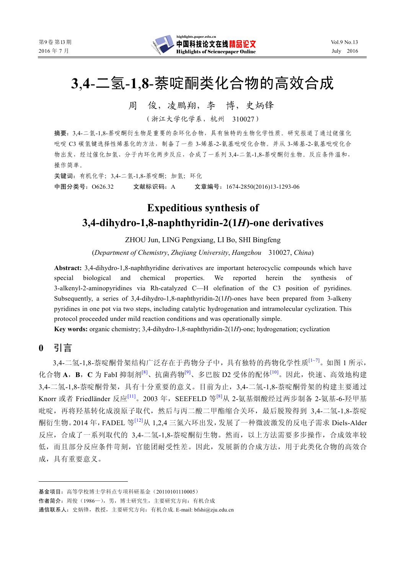

# **3**,**4**-二氢-**1**,**8**-萘啶酮类化合物的高效合成

周 俊,凌鹏翔,李博,史炳锋

(浙江大学化学系,杭州 310027)

摘要:3,4-二氢-1,8-萘啶酮衍生物是重要的杂环化合物,具有独特的生物化学性质。研究报道了通过铑催化 吡啶 C3 碳氢键选择性烯基化的方法,制备了一些 3-烯基-2-氨基吡啶化合物。并从 3-烯基-2-氨基吡啶化合 物出发,经过催化加氢、分子内环化两步反应,合成了一系列 3,4-二氢-1,8-萘啶酮衍生物。反应条件温和, 操作简单。

关键词:有机化学;3,4-二氢-1,8-萘啶酮;加氢;环化 中图分类号:O626.32 文献标识码:A 文章编号:1674-2850(2016)13-1293-06

# **Expeditious synthesis of 3,4-dihydro-1,8-naphthyridin-2(1***H***)-one derivatives**

ZHOU Jun, LING Pengxiang, LI Bo, SHI Bingfeng

(*Department of Chemistry*, *Zhejiang University*, *Hangzhou* 310027, *China*)

**Abstract:** 3,4-dihydro-1,8-naphthyridine derivatives are important heterocyclic compounds which have special biological and chemical properties. We reported herein the synthesis of 3-alkenyl-2-aminopyridines via Rh-catalyzed C—H olefination of the C3 position of pyridines. Subsequently, a series of 3,4-dihydro-1,8-naphthyridin-2(1*H*)-ones have been prepared from 3-alkeny pyridines in one pot via two steps, including catalytic hydrogenation and intramolecular cyclization. This protocol proceeded under mild reaction conditions and was operationally simple.

**Key words:** organic chemistry; 3,4-dihydro-1,8-naphthyridin-2(1*H*)-one; hydrogenation; cyclization

**0** 引言

3,4-二氢-1,8-萘啶酮骨架结构广泛存在于药物分子中,具有独特的药物化学性质<sup>[1~7]</sup>。如图 1 所示, 化合物 **A**,**B**,**C** 为 FabI 抑制剂[8]、抗菌药物[9]、多巴胺 D2 受体的配体[10]。因此,快速、高效地构建 3,4-二氢-1,8-萘啶酮骨架,具有十分重要的意义。目前为止,3,4-二氢-1,8-萘啶酮骨架的构建主要通过 Knorr 或者 Friedländer 反应<sup>[11]</sup>。2003 年, SEEFELD 等<sup>[8]</sup>从 2-氨基烟酸经过两步制备 2-氨基-6-羟甲基 吡啶,再将羟基转化成溴原子取代,然后与丙二酸二甲酯缩合关环,最后脱羧得到 3,4-二氢-1,8-萘啶 酮衍生物。2014年,FADEL 等<sup>[12]</sup>从 1.2.4 三氮六环出发,发展了一种微波激发的反电子需求 Diels-Alder 反应,合成了一系列取代的 3,4-二氢-1,8-萘啶酮衍生物。然而,以上方法需要多步操作,合成效率较 低,而且部分反应条件苛刻,官能团耐受性差。因此,发展新的合成方法,用于此类化合物的高效合 成,具有重要意义。

作者简介:周俊(1986—),男,博士研究生,主要研究方向:有机合成

基金项目:高等学校博士学科点专项科研基金(20110101110005)

通信联系人:史炳锋,教授,主要研究方向:有机合成. E-mail: bfshi@zju.edu.cn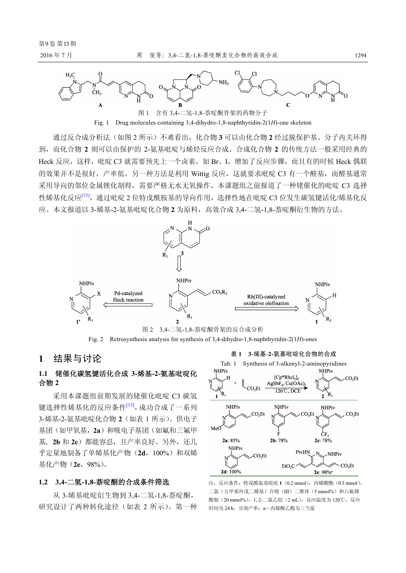

Fig. 1 Drug molecules containing 3,4-dihydro-1,8-naphthyridin-2(1*H*)-one skeleton

通过反合成分析法(如图 2 所示)不难看出, 化合物 **3** 可以由化合物 2 经过脱保护基、分子内关环得 到,而化合物 **2** 则可以由保护的 2-氨基吡啶与烯烃反应合成。合成化合物 **2** 的传统方法一般采用经典的 Heck 反应,这样,吡啶 C3 就需要预先上一个卤素,如 Br、I,增加了反应步骤,而且有的时候 Heck 偶联 的效果并不是很好,产率低。另一种方法是利用 Wittig 反应,这就要求吡啶 C3 有一个醛基,而醛基通常 采用导向的邻位金属锂化制得,需要严格无水无氧操作。本课题组之前报道了一种铑催化的吡啶 C3 选择 性烯基化反应<sup>[13]</sup>,通过吡啶 2 位特戊酰胺基的导向作用, 选择性地在吡啶 C3 位发生碳氢键活化/烯基化反 应。本文报道以 3-烯基-2-氨基吡啶化合物 **2** 为原料,高效合成 3,4-二氢-1,8-萘啶酮衍生物的方法。





# **1** 结果与讨论

# **1.1** 铑催化碳氢键活化合成 **3-**烯基**-2-**氨基吡啶化 合物 **2**

采用本课题组前期发展的铑催化吡啶 C3 碳氢 键选择性烯基化的反应条件[13],成功合成了一系列 3-烯基-2-氨基吡啶化合物 **2**(如表 1 所示)。供电子 基团(如甲氧基,**2a**)和吸电子基团(如氟和三氟甲 基,**2b** 和 **2c**)都能容忍,且产率良好。另外,还几 乎定量地制备了单烯基化产物(**2d**,100%)和双烯 基化产物(**2e**,98%)。

### **1.2 3,4-**二氢**-1,8-**萘啶酮的合成条件筛选

从 3-烯基吡啶衍生物到 3,4-二氢-1,8-萘啶酮, 研究设计了两种转化途径(如表 2 所示)。第一种



表 **1 3**-烯基-**2-**氨基吡啶化合物的合成

注: 反应条件: 特戊酰氨基吡啶 1 (0.2 mmol), 丙烯酸酯 (0.3 mmol), 二氯(五甲基环戊二烯基)合铑(III)二聚体(5 mmol%)和六氟锑 酸银(20 mmol%), 1, 2-二氯乙烷(2 mL), 反应温度为 120℃, 反应 时间为 24 h, 分离产率; a—丙烯酸乙酯为三当量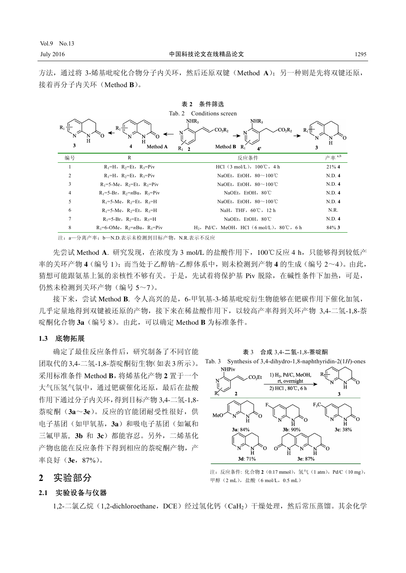方法,通过将 3-烯基吡啶化合物分子内关环,然后还原双键(Method **A**);另一种则是先将双键还原, 接着再分子内关环(Method **B**)。

表 **2** 条件筛选

|                |                                           | Conditions screen<br>Tab. 2                                                     |          |
|----------------|-------------------------------------------|---------------------------------------------------------------------------------|----------|
| $R_1$          | $R_1 \frac{1}{ 1 }$<br>H<br>H             | NHR <sub>3</sub><br>NHR <sub>3</sub><br>$-CO_2R_2$<br>$\angle CO_2R_2$<br>$R_1$ |          |
| 3              | Method A<br>4                             | Method $\mathbf{B} \quad \mathbf{R}_1$<br>$\mathbf{R}_1$<br>4'                  | H<br>3   |
| 编号             | R                                         | 反应条件                                                                            | 产率 a,b   |
|                | $R_1=H$ , $R_2=Et$ , $R_3=Piv$            | HCl $(3 \text{ mol/L})$ , $100\degree$ C, 4 h                                   | $21\%$ 4 |
| $\overline{2}$ | $R_1=H$ , $R_2=Et$ , $R_3=Piv$            | NaOEt, EtOH, $80 \sim 100^{\circ}$ C                                            | N.D. 4   |
| 3              | $R_1 = 5$ -Me, $R_2 = Et$ , $R_3 = Piv$   | NaOEt, EtOH, $80 \sim 100$ °C                                                   | N.D. 4   |
| 4              | $R_1 = 5-Br$ , $R_2 = nBu$ , $R_3 = Piv$  | NaOEt, EtOH, 80℃                                                                | N.D. 4   |
| 5              | $R_1 = 5$ -Me, $R_2 = Et$ , $R_3 = H$     | NaOEt, EtOH, $80 \sim 100^{\circ}$ C                                            | N.D. 4   |
| 6              | $R_1 = 5$ -Me, $R_2 = Et$ , $R_3 = H$     | NaH, THF, 60℃, 12 h                                                             | N.R.     |
|                | $R_1 = 5-Br$ , $R_2 = Et$ , $R_3 = H$     | NaOEt, $EtOH$ , $80^{\circ}$ C                                                  | N.D. 4   |
| 8              | $R_1 = 6$ -OMe, $R_2 = nBu$ , $R_3 = Piv$ | $H_2$ , Pd/C, MeOH, HCl (6 mol/L), 80°C, 6 h                                    | $84\%$ 3 |
|                |                                           |                                                                                 |          |

注: a-分离产率; b-N.D.表示未检测到目标产物, N.R.表示不反应

先尝试 Method **A**. 研究发现,在浓度为 3 mol/L 的盐酸作用下,100℃反应 4 h,只能够得到较低产 率的关环产物 **4**(编号 1);而当处于乙醇钠-乙醇体系中,则未检测到产物 **4** 的生成(编号 2~4)。由此, 猜想可能跟氨基上氮的亲核性不够有关。于是,先试着将保护基 Piv 脱除,在碱性条件下加热,可是, 仍然未检测到关环产物(编号 5~7)。

接下来,尝试 Method **B**. 令人高兴的是,6-甲氧基-3-烯基吡啶衍生物能够在钯碳作用下催化加氢, 几乎定量地得到双键被还原的产物,接下来在稀盐酸作用下,以较高产率得到关环产物 3,4-二氢-1,8-萘 啶酮化合物 **3a**(编号 8)。由此,可以确定 Method **B** 为标准条件。

#### **1.3** 底物拓展

确定了最佳反应条件后,研究制备了不同官能 团取代的3,4-二氢-1,8-萘啶酮衍生物(如表3所示)。 采用标准条件 Method **B**,将烯基化产物 **2** 置于一个 大气压氢气氛中,通过钯碳催化还原,最后在盐酸 作用下通过分子内关环,得到目标产物 3,4-二氢-1,8- 萘啶酮(**3a**~**3e**)。反应的官能团耐受性很好,供 电子基团(如甲氧基,**3a**)和吸电子基团(如氟和 三氟甲基,**3b** 和 **3c**)都能容忍。另外,二烯基化 产物也能在反应条件下得到相应的萘啶酮产物,产 率良好(**3e**,87%)。

表 3合成 3,4-二氢-1,8-萘啶酮



注: 反应条件: 化合物 2 (0.17 mmol), 氢气 (1 atm), Pd/C (10 mg),

甲醇(2 mL), 盐酸(6 mol/L, 0.5 mL)

# **2** 实验部分

#### **2.1** 实验设备与仪器

1,2-二氯乙烷(1,2-dichloroethane, DCE)经过氢化钙(CaH<sub>2</sub>)干燥处理,然后常压蒸馏。其余化学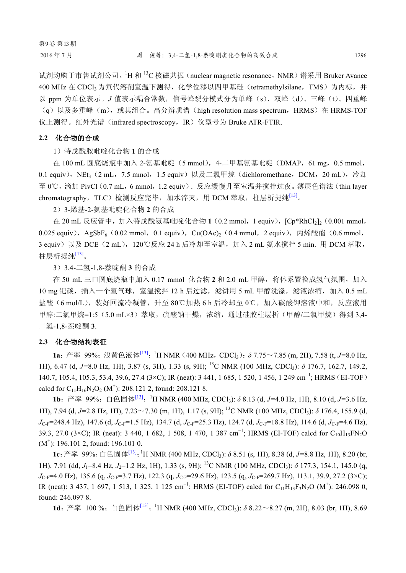试剂均购于市售试剂公司。<sup>1</sup>H 和 <sup>13</sup>C 核磁共振 (nuclear magnetic resonance, NMR) 谱采用 Bruker Avance 400 MHz 在 CDCI;为氘代溶剂室温下测得, 化学位移以四甲基硅(tetramethylsilane, TMS)为内标, 并 以 ppm 为单位表示。J 值表示耦合常数, 信号峰裂分模式分为单峰(s)、双峰(d)、三峰(t)、四重峰 (q)以及多重峰(m),或其组合。高分辨质谱(high resolution mass spectrum, HRMS)在 HRMS-TOF

仪上测得。红外光谱(infrared spectroscopy, IR)仪型号为 Bruke ATR-FTIR.

#### **2.2** 化合物的合成

1)特戊酰胺吡啶化合物 **1** 的合成

在 100 mL 圆底烧瓶中加入 2-氨基吡啶(5 mmol), 4-二甲基氨基吡啶(DMAP, 61 mg, 0.5 mmol, 0.1 equiv), NEt<sub>3</sub> (2 mL, 7.5 mmol, 1.5 equiv) 以及二氯甲烷 (dichloromethane, DCM, 20 mL), 冷却 至 0℃,滴加 PivCl(0.7 mL,6 mmol,1.2 equiv). 反应缓慢升至室温并搅拌过夜。薄层色谱法(thin layer chromatography, TLC)检测反应完毕, 加水淬灭, 用 DCM 萃取, 柱层析提纯<sup>[13]</sup>。

2)3-烯基-2-氨基吡啶化合物 **2** 的合成

在 20 mL 反应管中, 加入特戊酰氨基吡啶化合物 1 (0.2 mmol, 1 equiv), [Cp\*RhCl<sub>2</sub>]<sub>2</sub> (0.001 mmol,  $0.025$  equiv), AgSbF<sub>6</sub> (0.02 mmol, 0.1 equiv), Cu(OAc)<sub>2</sub> (0.4 mmol, 2 equiv), 丙烯酸酯 (0.6 mmol, 3 equiv) 以及 DCE (2 mL), 120℃反应 24 h 后冷却至室温, 加入 2 mL 氡水搅拌 5 min. 用 DCM 萃取, 柱层析提纯[13]。

3)3,4-二氢-1,8-萘啶酮 **3** 的合成

在 50 mL 三口圆底烧瓶中加入 0.17 mmol 化合物 **2** 和 2.0 mL 甲醇,将体系置换成氢气氛围,加入 10 mg 钯碳,插入一个氢气球,室温搅拌 12 h 后过滤,滤饼用 5 mL 甲醇洗涤,滤液浓缩, 加入 0.5 mL 盐酸(6 mol/L),装好回流冷凝管,升至 80℃加热 6 h 后冷却至 0℃,加入碳酸钾溶液中和,反应液用 甲醇:二氯甲烷=1:5 (5.0 mL×3)萃取,硫酸钠干燥,浓缩,通过硅胶柱层析(甲醇/二氯甲烷)得到 3,4-二氢-1,8-萘啶酮 **3**.

#### **2.3** 化合物结构表征

**1a**: 产率 99%; 浅黄色液体<sup>[13]</sup>; <sup>1</sup>H NMR (400 MHz, CDCl<sub>3</sub>): *δ* 7.75~7.85 (m, 2H), 7.58 (t, *J*=8.0 Hz, 1H), 6.47 (d, *J=*8.0 Hz, 1H), 3.87 (s, 3H), 1.33 (s, 9H); 13C NMR (100 MHz, CDCl3): *δ* 176.7, 162.7, 149.2, 140.7, 105.4, 105.3, 53.4, 39.6, 27.4 (3×C); IR (neat): 3 441, 1 685, 1 520, 1 456, 1 249 cm<sup>-1</sup>; HRMS (EI-TOF) calcd for  $C_{11}H_{16}N_2O_2$  (M<sup>+</sup>): 208.121 2, found: 208.121 8.

**1b**: 产率 99%; 白色固体<sup>[13]</sup>; <sup>1</sup>H NMR (400 MHz, CDCl<sub>3</sub>): *δ* 8.13 (d, *J*=4.0 Hz, 1H), 8.10 (d, *J*=3.6 Hz, 1H), 7.94 (d, *J=*2.8 Hz, 1H), 7.23~7.30 (m, 1H), 1.17 (s, 9H); 13C NMR (100 MHz, CDCl3): *δ* 176.4, 155.9 (d, *J*C-F=248.4 Hz), 147.6 (d, *J*C-F=1.5 Hz), 134.7 (d, *J*C-F=25.3 Hz), 124.7 (d, *J*C-F=18.8 Hz), 114.6 (d, *J*C-F=4.6 Hz), 39.3, 27.0 (3×C); IR (neat): 3 440, 1 682, 1 508, 1 470, 1 387 cm<sup>-1</sup>; HRMS (EI-TOF) calcd for C<sub>10</sub>H<sub>13</sub>FN<sub>2</sub>O  $(M<sup>+</sup>)$ : 196.101 2, found: 196.101 0.

**1c**: 产率 99%; 白色固体<sup>[13]</sup>; <sup>1</sup>H NMR (400 MHz, CDCl<sub>3</sub>): *δ* 8.51 (s, 1H), 8.38 (d, *J*=8.8 Hz, 1H), 8.20 (br, 1H), 7.91 (dd, *J*<sub>1</sub>=8.4 Hz, *J*<sub>2</sub>=1.2 Hz, 1H), 1.33 (s, 9H); <sup>13</sup>C NMR (100 MHz, CDCl<sub>3</sub>): δ 177.3, 154.1, 145.0 (q, *J*<sub>C-F</sub>=4.0 Hz), 135.6 (q, *J*<sub>C-F</sub>=3.7 Hz), 122.3 (q, *J*<sub>C-F</sub>=29.6 Hz), 123.5 (q, *J*<sub>C-F</sub>=269.7 Hz), 113.1, 39.9, 27.2 (3×C); IR (neat): 3 437, 1 697, 1 513, 1 325, 1 125 cm<sup>-1</sup>; HRMS (EI-TOF) calcd for C<sub>11</sub>H<sub>13</sub>F<sub>3</sub>N<sub>2</sub>O (M<sup>+</sup>): 246.098 0, found: 246.097 8.

**1d**: 产率 100 %; 白色固体<sup>[13]</sup>; <sup>1</sup>H NMR (400 MHz, CDCl<sub>3</sub>): *δ* 8.22~8.27 (m, 2H), 8.03 (br, 1H), 8.69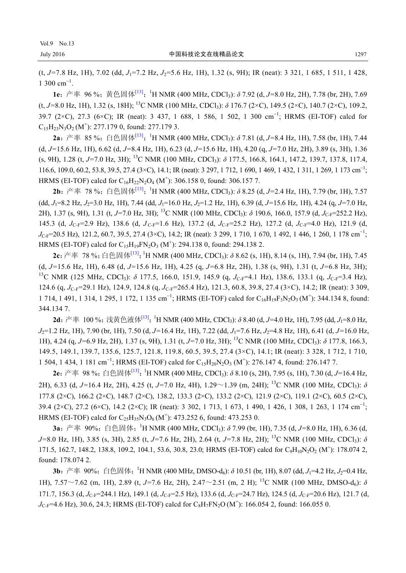(t, *J=*7.8 Hz, 1H), 7.02 (dd, *J*1=7.2 Hz, *J*2=5.6 Hz, 1H), 1.32 (s, 9H); IR (neat): 3 321, 1 685, 1 511, 1 428, 1 300 cm<sup>−</sup><sup>1</sup> .

**1e**: 产率 96 %; 黄色固体<sup>[13]</sup>; <sup>1</sup>H NMR (400 MHz, CDCl<sub>3</sub>): *δ* 7.92 (d, *J*=8.0 Hz, 2H), 7.78 (br, 2H), 7.69 (t, *J=*8.0 Hz, 1H), 1.32 (s, 18H); 13C NMR (100 MHz, CDCl3): *δ* 176.7 (2×C), 149.5 (2×C), 140.7 (2×C), 109.2, 39.7 (2×C), 27.3 (6×C); IR (neat): 3 437, 1 688, 1 586, 1 502, 1 300 cm<sup>-1</sup>; HRMS (EI-TOF) calcd for  $C_{15}H_{23}N_3O_2(M^+)$ : 277.179 0, found: 277.179 3.

**2a**: 产率 85 %; 白色固体<sup>[13]</sup>; <sup>1</sup>H NMR (400 MHz, CDCl3): *δ* 7.81 (d, *J*=8.4 Hz, 1H), 7.58 (br, 1H), 7.44 (d, *J=*15.6 Hz, 1H), 6.62 (d, *J=*8.4 Hz, 1H), 6.23 (d, *J=*15.6 Hz, 1H), 4.20 (q, *J=*7.0 Hz, 2H), 3.89 (s, 3H), 1.36 (s, 9H), 1.28 (t, *J=*7.0 Hz, 3H); 13C NMR (100 MHz, CDCl3): *δ* 177.5, 166.8, 164.1, 147.2, 139.7, 137.8, 117.4, 116.6, 109.0, 60.2, 53.8, 39.5, 27.4 (3×C), 14.1; IR (neat): 3 297, 1 712, 1 690, 1 469, 1 432, 1 311, 1 269, 1 173 cm<sup>-1</sup>; HRMS (EI-TOF) calcd for  $C_{16}H_{22}N_2O_4$  (M<sup>+</sup>): 306.158 0, found: 306.157 7.

**2b**: 产率 78 %; 白色固体<sup>[13]</sup>; <sup>1</sup>H NMR (400 MHz, CDCl<sub>3</sub>): *δ* 8.25 (d, *J*=2.4 Hz, 1H), 7.79 (br, 1H), 7.57  $(dd, J_1=8.2 \text{ Hz}, J_2=3.0 \text{ Hz}, 1\text{ H}), 7.44 \text{ (dd, } J_1=16.0 \text{ Hz}, J_2=1.2 \text{ Hz}, 1\text{ H}), 6.39 \text{ (d, } J=15.6 \text{ Hz}, 1\text{ H}), 4.24 \text{ (g, } J=7.0 \text{ Hz},$ 2H), 1.37 (s, 9H), 1.31 (t, *J=*7.0 Hz, 3H); 13C NMR (100 MHz, CDCl3): *δ* 190.6, 166.0, 157.9 (d, *J*C-F=252.2 Hz), 145.3 (d, *J*<sub>C-F</sub>=2.9 Hz), 138.6 (d, *J*<sub>C-F</sub>=1.6 Hz), 137.2 (d, *J*<sub>C-F</sub>=25.2 Hz), 127.2 (d, *J*<sub>C-F</sub>=4.0 Hz), 121.9 (d, *J*<sub>C-F</sub>=20.5 Hz), 121.2, 60.7, 39.5, 27.4 (3×C), 14.2; IR (neat): 3 299, 1 710, 1 670, 1 492, 1 446, 1 260, 1 178 cm<sup>-1</sup>; HRMS (EI-TOF) calcd for  $C_{15}H_{19}FN_2O_3$  (M<sup>+</sup>): 294.138 0, found: 294.138 2.

**2c**: 产率 78 %; 白色固体<sup>[13]</sup>; <sup>1</sup>H NMR (400 MHz, CDCl<sub>3</sub>): *δ* 8.62 (s, 1H), 8.14 (s, 1H), 7.94 (br, 1H), 7.45 (d, *J=*15.6 Hz, 1H), 6.48 (d, *J=*15.6 Hz, 1H), 4.25 (q, *J=*6.8 Hz, 2H), 1.38 (s, 9H), 1.31 (t, *J=*6.8 Hz, 3H); <sup>13</sup>C NMR (125 MHz, CDCl<sub>3</sub>): δ 177.5, 166.0, 151.9, 145.9 (q, *J*<sub>C-F</sub>=4.1 Hz), 138.6, 133.1 (q, *J*<sub>C-F</sub>=3.4 Hz), 124.6 (q, *J*C-F=29.1 Hz), 124.9, 124.8 (q, *J*C-F=265.4 Hz), 121.3, 60.8, 39.8, 27.4 (3×C), 14.2; IR (neat): 3 309, 1 714, 1 491, 1 314, 1 295, 1 172, 1 135 cm<sup>-1</sup>; HRMS (EI-TOF) calcd for C<sub>16</sub>H<sub>19</sub>F<sub>3</sub>N<sub>2</sub>O<sub>3</sub>(M<sup>+</sup>): 344.134 8, found: 344.134 7.

**2d:** 产率 100 %; 浅黄色液体<sup>[13]</sup>; <sup>1</sup>H NMR (400 MHz, CDCl<sub>3</sub>): *δ* 8.40 (d, *J*=4.0 Hz, 1H), 7.95 (dd, *J*<sub>1</sub>=8.0 Hz, *J*2=1.2 Hz, 1H), 7.90 (br, 1H), 7.50 (d, *J=*16.4 Hz, 1H), 7.22 (dd, *J*1=7.6 Hz, *J*2=4.8 Hz, 1H), 6.41 (d, *J=*16.0 Hz, 1H), 4.24 (q, *J=*6.9 Hz, 2H), 1.37 (s, 9H), 1.31 (t, *J=*7.0 Hz, 3H); 13C NMR (100 MHz, CDCl3): *δ* 177.8, 166.3, 149.5, 149.1, 139.7, 135.6, 125.7, 121.8, 119.8, 60.5, 39.5, 27.4 (3×C), 14.1; IR (neat): 3 328, 1 712, 1 710, 1 504, 1 434, 1 181 cm<sup>-1</sup>; HRMS (EI-TOF) calcd for C<sub>15</sub>H<sub>20</sub>N<sub>2</sub>O<sub>3</sub> (M<sup>+</sup>): 276.147 4, found: 276.147 7.

**2e**: 产率 98 %; 白色固体<sup>[13]</sup>; <sup>1</sup>H NMR (400 MHz, CDCl<sub>3</sub>): *δ* 8.10 (s, 2H), 7.95 (s, 1H), 7.30 (d, *J*=16.4 Hz, 2H), 6.33 (d, *J=*16.4 Hz, 2H), 4.25 (t, *J=*7.0 Hz, 4H), 1.29~1.39 (m, 24H); 13C NMR (100 MHz, CDCl3): *δ* 177.8 (2×C), 166.2 (2×C), 148.7 (2×C), 138.2, 133.3 (2×C), 133.2 (2×C), 121.9 (2×C), 119.1 (2×C), 60.5 (2×C), 39.4 (2×C), 27.2 (6×C), 14.2 (2×C); IR (neat): 3 302, 1 713, 1 673, 1 490, 1 426, 1 308, 1 263, 1 174 cm<sup>-1</sup>; HRMS (EI-TOF) calcd for  $C_{25}H_{35}N_3O_6(M^+)$ : 473.252 6, found: 473.253 0.

**3a**: 产率 90%; 白色固体; <sup>1</sup>H NMR (400 MHz, CDCl3): *δ* 7.99 (br, 1H), 7.35 (d, *J*=8.0 Hz, 1H), 6.36 (d, *J=*8.0 Hz, 1H), 3.85 (s, 3H), 2.85 (t, *J=*7.6 Hz, 2H), 2.64 (t, *J=*7.8 Hz, 2H); 13C NMR (100 MHz, CDCl3): *δ* 171.5, 162.7, 148.2, 138.8, 109.2, 104.1, 53.6, 30.8, 23.0; HRMS (EI-TOF) calcd for C<sub>9</sub>H<sub>10</sub>N<sub>2</sub>O<sub>2</sub> (M<sup>+</sup>): 178.074 2, found: 178.074 2.

**3b**: 产率 90%; 白色固体; <sup>1</sup>H NMR (400 MHz, DMSO-d<sub>6</sub>): *δ* 10.51 (br, 1H), 8.07 (dd, *J*<sub>1</sub>=4.2 Hz, *J*<sub>2</sub>=0.4 Hz, 1H), 7.57~7.62 (m, 1H), 2.89 (t, *J=*7.6 Hz, 2H), 2.47~2.51 (m, 2 H); 13C NMR (100 MHz, DMSO-d6): *δ* 171.7, 156.3 (d, *J*<sub>C-F</sub>=244.1 Hz), 149.1 (d, *J*<sub>C-F</sub>=2.5 Hz), 133.6 (d, *J*<sub>C-F</sub>=24.7 Hz), 124.5 (d, *J*<sub>C-F</sub>=20.6 Hz), 121.7 (d,  $J_{\text{C-F}}$ =4.6 Hz), 30.6, 24.3; HRMS (EI-TOF) calcd for C<sub>8</sub>H<sub>7</sub>FN<sub>2</sub>O (M<sup>+</sup>): 166.054 2, found: 166.055 0.